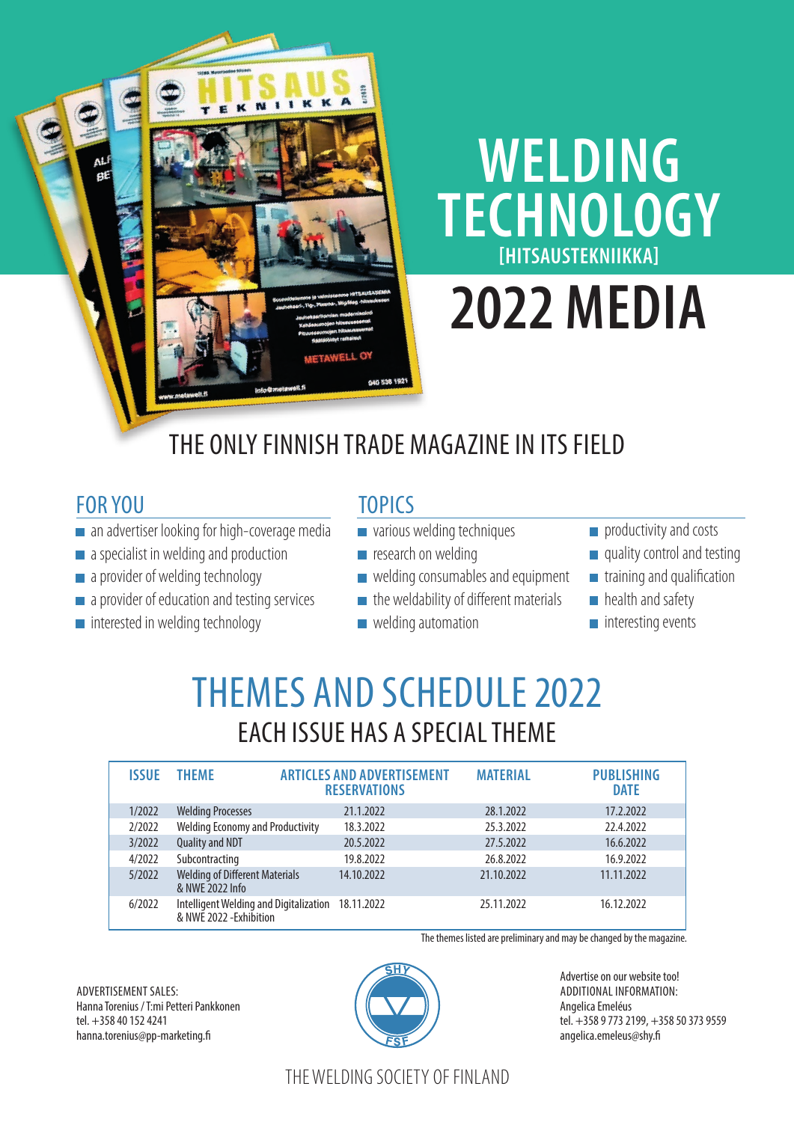# **WELDING TECHNOLOGY [HITSAUSTEKNIIKKA]**

# **2022 MEDIA**

## THE ONLY FINNISH TRADE MAGAZINE IN ITS FIELD

### FOR YOU

- an advertiser looking for high-coverage media
- a specialist in welding and production
- a provider of welding technology
- a provider of education and testing services
- $\blacksquare$  interested in welding technology

### **TOPICS**

- various welding techniques
- $\blacksquare$  research on welding
- $\blacksquare$  welding consumables and equipment
- $\blacksquare$  the weldability of different materials
- **welding automation**
- productivity and costs
- quality control and testing
- **training and qualification**
- **health and safety**
- $\blacksquare$  interesting events

# THEMES AND SCHEDULE 2022 EACH ISSUE HAS A SPECIAL THEME

| <b>ISSUE</b> | <b>THFMF</b>                                                      | <b>ARTICLES AND ADVERTISEMENT</b><br><b>RESERVATIONS</b> | <b>MATERIAL</b> | <b>PUBLISHING</b><br><b>DATE</b> |
|--------------|-------------------------------------------------------------------|----------------------------------------------------------|-----------------|----------------------------------|
| 1/2022       | <b>Welding Processes</b>                                          | 21.1.2022                                                | 28.1.2022       | 17.2.2022                        |
| 2/2022       | <b>Welding Economy and Productivity</b>                           | 18.3.2022                                                | 25.3.2022       | 22.4.2022                        |
| 3/2022       | Quality and NDT                                                   | 20.5.2022                                                | 27.5.2022       | 16.6.2022                        |
| 4/2022       | Subcontracting                                                    | 19.8.2022                                                | 26.8.2022       | 16.9.2022                        |
| 5/2022       | <b>Welding of Different Materials</b><br>& NWE 2022 Info          | 14.10.2022                                               | 21.10.2022      | 11.11.2022                       |
| 6/2022       | Intelligent Welding and Digitalization<br>& NWE 2022 - Exhibition | 18.11.2022                                               | 25.11.2022      | 16.12.2022                       |

The themes listed are preliminary and may be changed by the magazine.

ADVERTISEMENT SALES: Hanna Torenius / T:mi Petteri Pankkonen tel. +358 40 152 4241 hanna.torenius@pp-marketing.fi



Advertise on our website too! ADDITIONAL INFORMATION: Angelica Emeléus tel. +358 9 773 2199, +358 50 373 9559 angelica.emeleus@shy.fi

### THE WELDING SOCIETY OF FINLAND